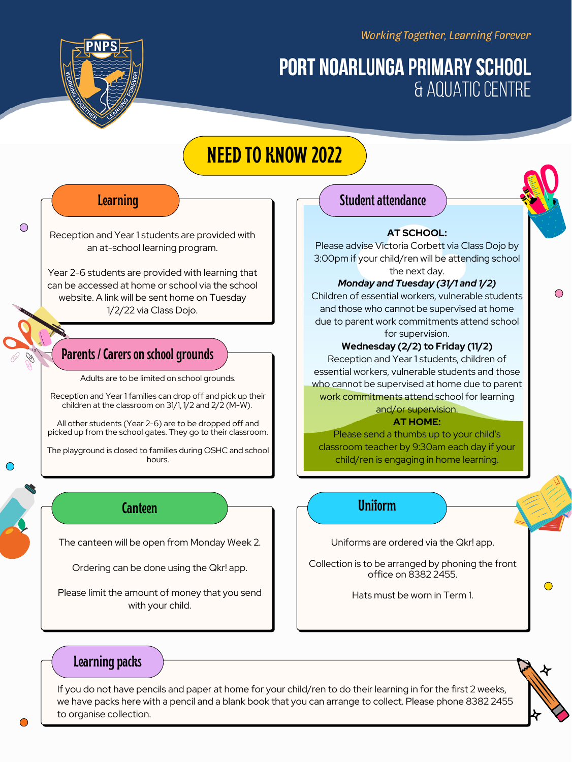Working Together, Learning Forever

# **PORT NOARLUNGA PRIMARY SCHOOL** & AQUATIC CENTRE

## **Parents / Carers on schoolgrounds**

The canteen will be open from Monday Week 2.

Ordering can be done using the Qkr! app.

Please limit the amount of money that you send with your child.

**Canteen Uniform**

If you do not have pencils and paper at home for your child/ren to do their learning in for the first 2 weeks, we have packs here with a pencil and a blank book that you can arrange to collect. Please phone 8382 2455 to organise collection.



Reception and Year 1 students are provided with an at-school learning program.

Year 2-6 students are provided with learning that can be accessed at home or school via the school website. A link will be sent home on Tuesday 1/2/22 via Class Dojo.

### **Learning**

 $\bigcirc$ 

Uniforms are ordered via the Qkr! app.

Collection is to be arranged by phoning the front office on 8382 2455.

Hats must be worn in Term 1.

# **Learning packs**

Adults are to be limited on school grounds.

Reception and Year 1 families can drop off and pick up their

### **Student attendance**

children at the classroom on 31/1, 1/2 and 2/2 (M-W).

All other students (Year 2-6) are to be dropped off and picked up from the school gates. They go to their classroom.

The playground is closed to families during OSHC and school hours.

### **AT SCHOOL:**

Please advise Victoria Corbett via Class Dojo by 3:00pm if your child/ren will be attending school the next day.

### *Monday and Tuesday (31/1 and 1/2)*

Children of essential workers, vulnerable students and those who cannot be supervised at home due to parent work commitments attend school for supervision.

### **Wednesday (2/2) to Friday (11/2)**

Reception and Year 1 students, children of essential workers, vulnerable students and those who cannot be supervised at home due to parent work commitments attend school for learning and/or supervision.

### **AT HOME:**

Please send a thumbs up to your child's classroom teacher by 9:30am each day if your child/ren is engaging in home learning.

# **NEED TO KNOW 2022**